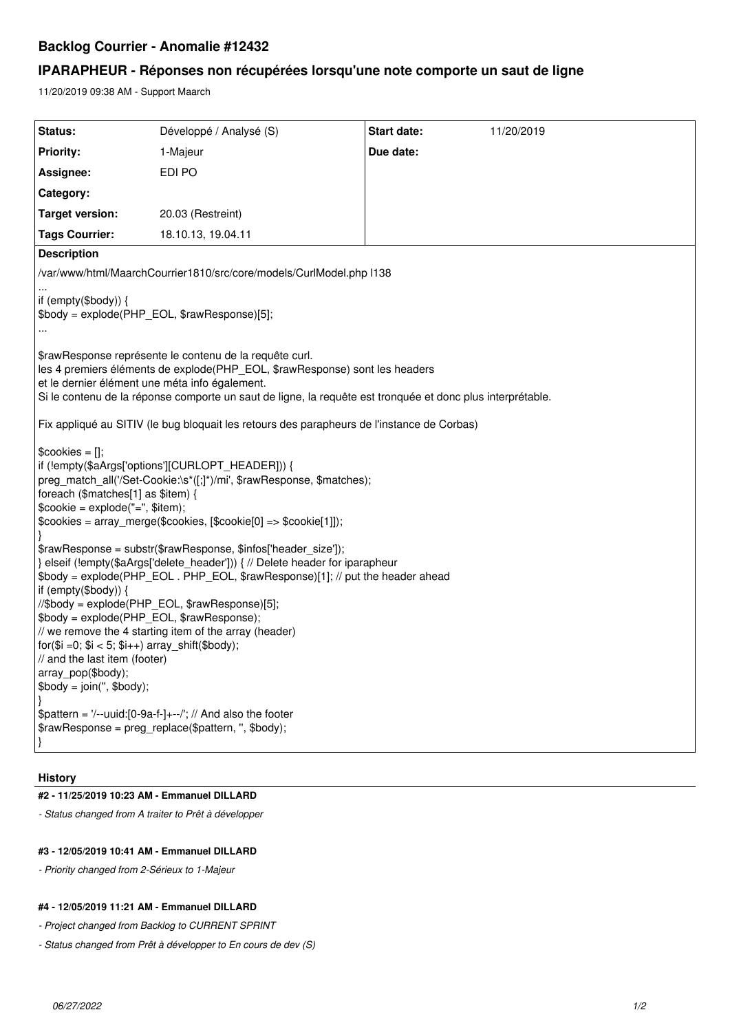# **Backlog Courrier - Anomalie #12432**

## **IPARAPHEUR - Réponses non récupérées lorsqu'une note comporte un saut de ligne**

11/20/2019 09:38 AM - Support Maarch

| Status:                                                                                                                                                                                                                                                                                                                                                                                                                                                                                                                                                                                                                                                                                                                                                                                                                                                                                                                                                                                                                                                               | Développé / Analysé (S) | <b>Start date:</b> | 11/20/2019 |
|-----------------------------------------------------------------------------------------------------------------------------------------------------------------------------------------------------------------------------------------------------------------------------------------------------------------------------------------------------------------------------------------------------------------------------------------------------------------------------------------------------------------------------------------------------------------------------------------------------------------------------------------------------------------------------------------------------------------------------------------------------------------------------------------------------------------------------------------------------------------------------------------------------------------------------------------------------------------------------------------------------------------------------------------------------------------------|-------------------------|--------------------|------------|
| <b>Priority:</b>                                                                                                                                                                                                                                                                                                                                                                                                                                                                                                                                                                                                                                                                                                                                                                                                                                                                                                                                                                                                                                                      | 1-Majeur                | Due date:          |            |
| Assignee:                                                                                                                                                                                                                                                                                                                                                                                                                                                                                                                                                                                                                                                                                                                                                                                                                                                                                                                                                                                                                                                             | EDI PO                  |                    |            |
| Category:                                                                                                                                                                                                                                                                                                                                                                                                                                                                                                                                                                                                                                                                                                                                                                                                                                                                                                                                                                                                                                                             |                         |                    |            |
| <b>Target version:</b>                                                                                                                                                                                                                                                                                                                                                                                                                                                                                                                                                                                                                                                                                                                                                                                                                                                                                                                                                                                                                                                | 20.03 (Restreint)       |                    |            |
| <b>Tags Courrier:</b>                                                                                                                                                                                                                                                                                                                                                                                                                                                                                                                                                                                                                                                                                                                                                                                                                                                                                                                                                                                                                                                 | 18.10.13, 19.04.11      |                    |            |
| <b>Description</b>                                                                                                                                                                                                                                                                                                                                                                                                                                                                                                                                                                                                                                                                                                                                                                                                                                                                                                                                                                                                                                                    |                         |                    |            |
| /var/www/html/MaarchCourrier1810/src/core/models/CurlModel.php I138                                                                                                                                                                                                                                                                                                                                                                                                                                                                                                                                                                                                                                                                                                                                                                                                                                                                                                                                                                                                   |                         |                    |            |
| if (empty(\$body)) {<br>\$body = explode(PHP_EOL, \$rawResponse)[5];                                                                                                                                                                                                                                                                                                                                                                                                                                                                                                                                                                                                                                                                                                                                                                                                                                                                                                                                                                                                  |                         |                    |            |
| \$rawResponse représente le contenu de la requête curl.<br>les 4 premiers éléments de explode(PHP_EOL, \$rawResponse) sont les headers<br>et le dernier élément une méta info également.<br>Si le contenu de la réponse comporte un saut de ligne, la requête est tronquée et donc plus interprétable.                                                                                                                                                                                                                                                                                                                                                                                                                                                                                                                                                                                                                                                                                                                                                                |                         |                    |            |
| Fix appliqué au SITIV (le bug bloquait les retours des parapheurs de l'instance de Corbas)                                                                                                                                                                                                                                                                                                                                                                                                                                                                                                                                                                                                                                                                                                                                                                                                                                                                                                                                                                            |                         |                    |            |
| $\text{Scobies} = []$ ;<br>if (!empty(\$aArgs['options'][CURLOPT_HEADER])) {<br>preg_match_all('/Set-Cookie:\s*([;]*)/mi', \$rawResponse, \$matches);<br>foreach (\$matches[1] as \$item) {<br>$\text{Scookie} = \text{explode}("=", \text{Sitem});$<br>$\text{Scookies} = \text{array\_merge}(\text{Scookies}, [\text{Scookie}[0] == \$\text{cookie}[1]]);$<br>\$rawResponse = substr(\$rawResponse, \$infos['header_size']);<br>} elseif (lempty(\$aArgs['delete_header'])) { // Delete header for iparapheur<br>\$body = explode(PHP_EOL. PHP_EOL, \$rawResponse)[1]; // put the header ahead<br>if (empty(\$body)) {<br>//\$body = explode(PHP_EOL, \$rawResponse)[5];<br>\$body = explode(PHP_EOL, \$rawResponse);<br>// we remove the 4 starting item of the array (header)<br>for( $$i = 0$ ; $$i < 5$ ; $$i++$ ) array shift( $$body$ );<br>// and the last item (footer)<br>array_pop(\$body);<br>$$body = join(", $body);$<br>\$pattern = $\frac{1}{2}$ -uuid:[0-9a-f-]+--/'; // And also the footer<br>\$rawResponse = preg_replace(\$pattern, ", \$body); |                         |                    |            |

#### **History**

## **#2 - 11/25/2019 10:23 AM - Emmanuel DILLARD**

*- Status changed from A traiter to Prêt à développer*

### **#3 - 12/05/2019 10:41 AM - Emmanuel DILLARD**

*- Priority changed from 2-Sérieux to 1-Majeur*

### **#4 - 12/05/2019 11:21 AM - Emmanuel DILLARD**

- *Project changed from Backlog to CURRENT SPRINT*
- *Status changed from Prêt à développer to En cours de dev (S)*